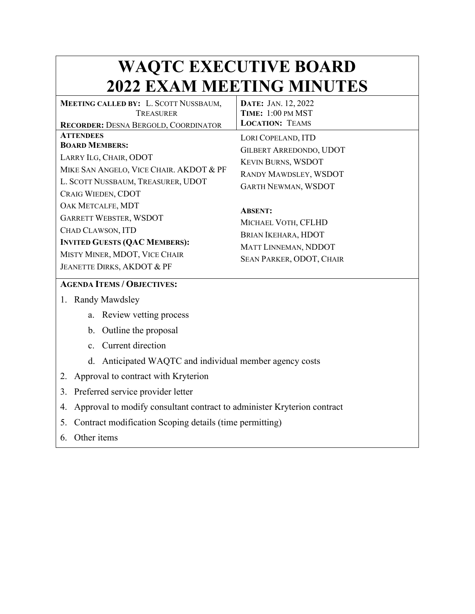## **WAQTC EXECUTIVE BOARD 2022 EXAM MEETING MINUTES**

| <b>MEETING CALLED BY: L. SCOTT NUSSBAUM,</b><br>TREASURER                                                                                                                                 | DATE: JAN. 12, 2022<br>TIME: 1:00 PM MST                                                                                                 |
|-------------------------------------------------------------------------------------------------------------------------------------------------------------------------------------------|------------------------------------------------------------------------------------------------------------------------------------------|
| <b>RECORDER: DESNA BERGOLD, COORDINATOR</b>                                                                                                                                               | <b>LOCATION: TEAMS</b>                                                                                                                   |
| <b>ATTENDEES</b><br><b>BOARD MEMBERS:</b><br>LARRY ILG, CHAIR, ODOT<br>MIKE SAN ANGELO, VICE CHAIR. AKDOT & PF<br>L. SCOTT NUSSBAUM, TREASURER, UDOT<br>CRAIG WIEDEN, CDOT                | LORI COPELAND, ITD<br><b>GILBERT ARREDONDO, UDOT</b><br><b>KEVIN BURNS, WSDOT</b><br>RANDY MAWDSLEY, WSDOT<br><b>GARTH NEWMAN, WSDOT</b> |
| OAK METCALFE, MDT<br><b>GARRETT WEBSTER, WSDOT</b><br>CHAD CLAWSON, ITD<br><b>INVITED GUESTS (QAC MEMBERS):</b><br>MISTY MINER, MDOT, VICE CHAIR<br><b>JEANETTE DIRKS, AKDOT &amp; PF</b> | <b>ABSENT:</b><br>MICHAEL VOTH, CFLHD<br>BRIAN IKEHARA, HDOT<br>MATT LINNEMAN, NDDOT<br>SEAN PARKER, ODOT, CHAIR                         |

## **AGENDA ITEMS / OBJECTIVES:**

- 1. Randy Mawdsley
	- a. Review vetting process
	- b. Outline the proposal
	- c. Current direction
	- d. Anticipated WAQTC and individual member agency costs
- 2. Approval to contract with Kryterion
- 3. Preferred service provider letter
- 4. Approval to modify consultant contract to administer Kryterion contract
- 5. Contract modification Scoping details (time permitting)
- 6. Other items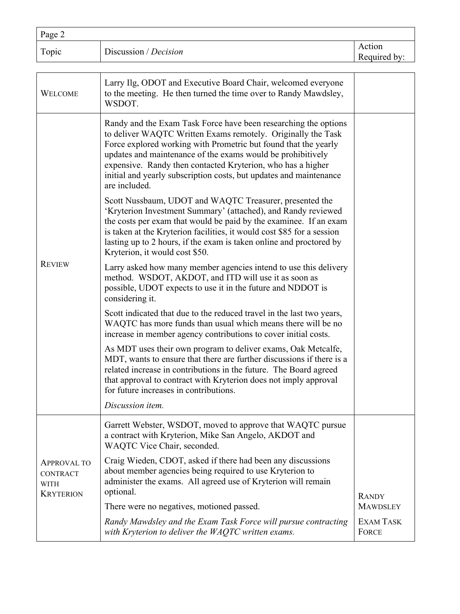| Page 2                                                                   |                                                                                                                                                                                                                                                                                                                                                                                                                         |                                  |
|--------------------------------------------------------------------------|-------------------------------------------------------------------------------------------------------------------------------------------------------------------------------------------------------------------------------------------------------------------------------------------------------------------------------------------------------------------------------------------------------------------------|----------------------------------|
| Topic                                                                    | Discussion / Decision                                                                                                                                                                                                                                                                                                                                                                                                   | Action<br>Required by:           |
| <b>WELCOME</b>                                                           | Larry Ilg, ODOT and Executive Board Chair, welcomed everyone<br>to the meeting. He then turned the time over to Randy Mawdsley,<br>WSDOT.                                                                                                                                                                                                                                                                               |                                  |
| <b>REVIEW</b>                                                            | Randy and the Exam Task Force have been researching the options<br>to deliver WAQTC Written Exams remotely. Originally the Task<br>Force explored working with Prometric but found that the yearly<br>updates and maintenance of the exams would be prohibitively<br>expensive. Randy then contacted Kryterion, who has a higher<br>initial and yearly subscription costs, but updates and maintenance<br>are included. |                                  |
|                                                                          | Scott Nussbaum, UDOT and WAQTC Treasurer, presented the<br>'Kryterion Investment Summary' (attached), and Randy reviewed<br>the costs per exam that would be paid by the examinee. If an exam<br>is taken at the Kryterion facilities, it would cost \$85 for a session<br>lasting up to 2 hours, if the exam is taken online and proctored by<br>Kryterion, it would cost \$50.                                        |                                  |
|                                                                          | Larry asked how many member agencies intend to use this delivery<br>method. WSDOT, AKDOT, and ITD will use it as soon as<br>possible, UDOT expects to use it in the future and NDDOT is<br>considering it.                                                                                                                                                                                                              |                                  |
|                                                                          | Scott indicated that due to the reduced travel in the last two years,<br>WAQTC has more funds than usual which means there will be no<br>increase in member agency contributions to cover initial costs.                                                                                                                                                                                                                |                                  |
|                                                                          | As MDT uses their own program to deliver exams, Oak Metcalfe,<br>MDT, wants to ensure that there are further discussions if there is a<br>related increase in contributions in the future. The Board agreed<br>that approval to contract with Kryterion does not imply approval<br>for future increases in contributions.                                                                                               |                                  |
|                                                                          | Discussion item.                                                                                                                                                                                                                                                                                                                                                                                                        |                                  |
| <b>APPROVAL TO</b><br><b>CONTRACT</b><br><b>WITH</b><br><b>KRYTERION</b> | Garrett Webster, WSDOT, moved to approve that WAQTC pursue<br>a contract with Kryterion, Mike San Angelo, AKDOT and<br>WAQTC Vice Chair, seconded.                                                                                                                                                                                                                                                                      |                                  |
|                                                                          | Craig Wieden, CDOT, asked if there had been any discussions<br>about member agencies being required to use Kryterion to<br>administer the exams. All agreed use of Kryterion will remain<br>optional.                                                                                                                                                                                                                   |                                  |
|                                                                          | There were no negatives, motioned passed.                                                                                                                                                                                                                                                                                                                                                                               | <b>RANDY</b><br><b>MAWDSLEY</b>  |
|                                                                          | Randy Mawdsley and the Exam Task Force will pursue contracting<br>with Kryterion to deliver the WAQTC written exams.                                                                                                                                                                                                                                                                                                    | <b>EXAM TASK</b><br><b>FORCE</b> |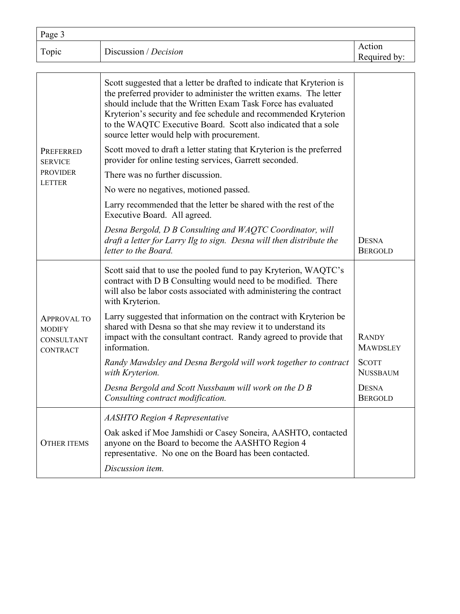| Page 3 |                       |                        |
|--------|-----------------------|------------------------|
| Topic  | Discussion / Decision | Action<br>Required by: |

| PREFERRED<br><b>SERVICE</b><br><b>PROVIDER</b>                       | Scott suggested that a letter be drafted to indicate that Kryterion is<br>the preferred provider to administer the written exams. The letter<br>should include that the Written Exam Task Force has evaluated<br>Kryterion's security and fee schedule and recommended Kryterion<br>to the WAQTC Executive Board. Scott also indicated that a sole<br>source letter would help with procurement.<br>Scott moved to draft a letter stating that Kryterion is the preferred |                                 |
|----------------------------------------------------------------------|---------------------------------------------------------------------------------------------------------------------------------------------------------------------------------------------------------------------------------------------------------------------------------------------------------------------------------------------------------------------------------------------------------------------------------------------------------------------------|---------------------------------|
|                                                                      | provider for online testing services, Garrett seconded.                                                                                                                                                                                                                                                                                                                                                                                                                   |                                 |
| <b>LETTER</b>                                                        | There was no further discussion.                                                                                                                                                                                                                                                                                                                                                                                                                                          |                                 |
|                                                                      | No were no negatives, motioned passed.                                                                                                                                                                                                                                                                                                                                                                                                                                    |                                 |
|                                                                      | Larry recommended that the letter be shared with the rest of the<br>Executive Board. All agreed.                                                                                                                                                                                                                                                                                                                                                                          |                                 |
|                                                                      | Desna Bergold, D B Consulting and WAQTC Coordinator, will<br>draft a letter for Larry Ilg to sign. Desna will then distribute the<br>letter to the Board.                                                                                                                                                                                                                                                                                                                 | <b>DESNA</b><br><b>BERGOLD</b>  |
| <b>APPROVAL TO</b><br><b>MODIFY</b><br>CONSULTANT<br><b>CONTRACT</b> | Scott said that to use the pooled fund to pay Kryterion, WAQTC's<br>contract with D B Consulting would need to be modified. There<br>will also be labor costs associated with administering the contract<br>with Kryterion.                                                                                                                                                                                                                                               |                                 |
|                                                                      | Larry suggested that information on the contract with Kryterion be<br>shared with Desna so that she may review it to understand its<br>impact with the consultant contract. Randy agreed to provide that<br>information.                                                                                                                                                                                                                                                  | <b>RANDY</b><br><b>MAWDSLEY</b> |
|                                                                      | Randy Mawdsley and Desna Bergold will work together to contract<br>with Kryterion.                                                                                                                                                                                                                                                                                                                                                                                        | <b>SCOTT</b><br><b>NUSSBAUM</b> |
|                                                                      | Desna Bergold and Scott Nussbaum will work on the D B<br>Consulting contract modification.                                                                                                                                                                                                                                                                                                                                                                                | <b>DESNA</b><br><b>BERGOLD</b>  |
| <b>OTHER ITEMS</b>                                                   | <b>AASHTO Region 4 Representative</b>                                                                                                                                                                                                                                                                                                                                                                                                                                     |                                 |
|                                                                      | Oak asked if Moe Jamshidi or Casey Soneira, AASHTO, contacted<br>anyone on the Board to become the AASHTO Region 4<br>representative. No one on the Board has been contacted.                                                                                                                                                                                                                                                                                             |                                 |
|                                                                      | Discussion item.                                                                                                                                                                                                                                                                                                                                                                                                                                                          |                                 |